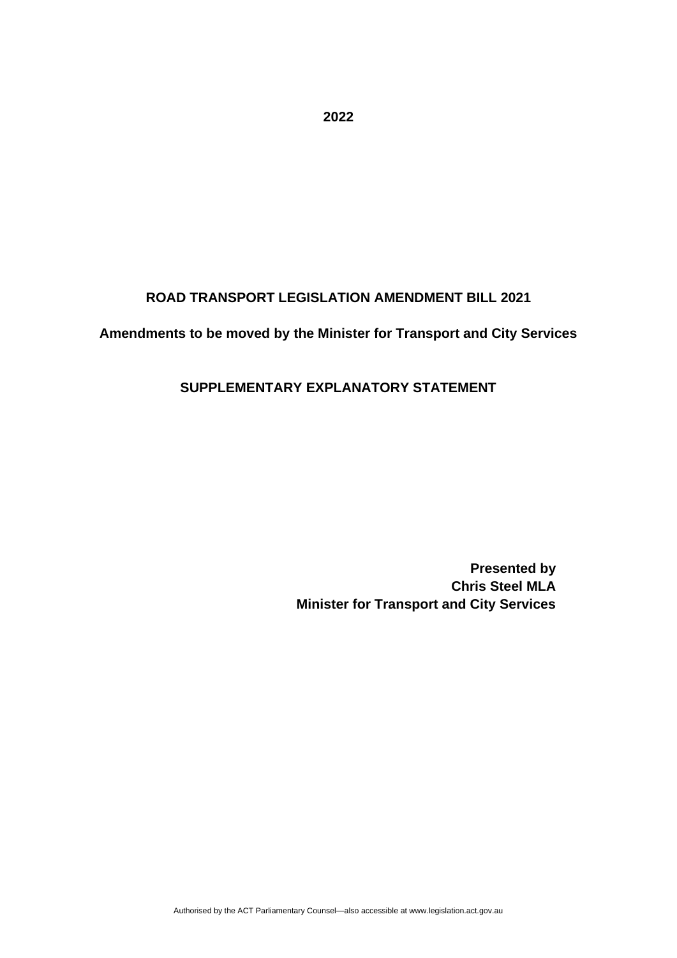**ROAD TRANSPORT LEGISLATION AMENDMENT BILL 2021**

#### **Amendments to be moved by the Minister for Transport and City Services**

#### **SUPPLEMENTARY EXPLANATORY STATEMENT**

**Presented by Chris Steel MLA Minister for Transport and City Services** 

**2022**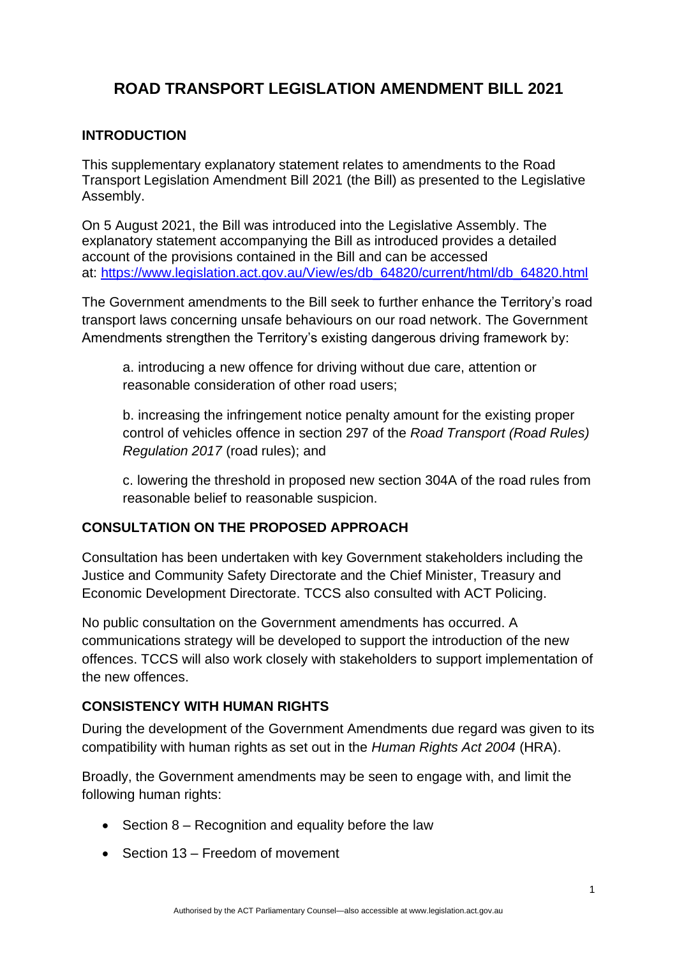# **ROAD TRANSPORT LEGISLATION AMENDMENT BILL 2021**

#### **INTRODUCTION**

This supplementary explanatory statement relates to amendments to the Road Transport Legislation Amendment Bill 2021 (the Bill) as presented to the Legislative Assembly.

On 5 August 2021, the Bill was introduced into the Legislative Assembly. The explanatory statement accompanying the Bill as introduced provides a detailed account of the provisions contained in the Bill and can be accessed at: [https://www.legislation.act.gov.au/View/es/db\\_64820/current/html/db\\_64820.html](https://www.legislation.act.gov.au/View/es/db_64820/current/html/db_64820.html)

The Government amendments to the Bill seek to further enhance the Territory's road transport laws concerning unsafe behaviours on our road network. The Government Amendments strengthen the Territory's existing dangerous driving framework by:

a. introducing a new offence for driving without due care, attention or reasonable consideration of other road users;

b. increasing the infringement notice penalty amount for the existing proper control of vehicles offence in section 297 of the *Road Transport (Road Rules) Regulation 2017* (road rules); and

c. lowering the threshold in proposed new section 304A of the road rules from reasonable belief to reasonable suspicion.

#### **CONSULTATION ON THE PROPOSED APPROACH**

Consultation has been undertaken with key Government stakeholders including the Justice and Community Safety Directorate and the Chief Minister, Treasury and Economic Development Directorate. TCCS also consulted with ACT Policing.

No public consultation on the Government amendments has occurred. A communications strategy will be developed to support the introduction of the new offences. TCCS will also work closely with stakeholders to support implementation of the new offences.

#### **CONSISTENCY WITH HUMAN RIGHTS**

During the development of the Government Amendments due regard was given to its compatibility with human rights as set out in the *Human Rights Act 2004* (HRA).

Broadly, the Government amendments may be seen to engage with, and limit the following human rights:

- Section 8 Recognition and equality before the law
- Section 13 Freedom of movement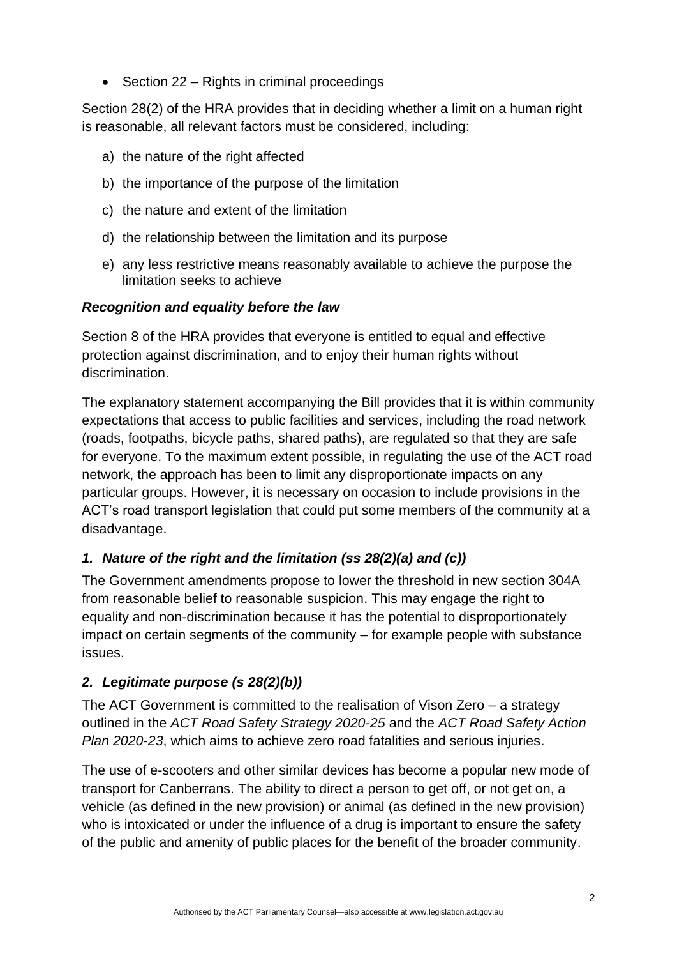• Section 22 – Rights in criminal proceedings

Section 28(2) of the HRA provides that in deciding whether a limit on a human right is reasonable, all relevant factors must be considered, including:

- a) the nature of the right affected
- b) the importance of the purpose of the limitation
- c) the nature and extent of the limitation
- d) the relationship between the limitation and its purpose
- e) any less restrictive means reasonably available to achieve the purpose the limitation seeks to achieve

#### *Recognition and equality before the law*

Section 8 of the HRA provides that everyone is entitled to equal and effective protection against discrimination, and to enjoy their human rights without discrimination.

The explanatory statement accompanying the Bill provides that it is within community expectations that access to public facilities and services, including the road network (roads, footpaths, bicycle paths, shared paths), are regulated so that they are safe for everyone. To the maximum extent possible, in regulating the use of the ACT road network, the approach has been to limit any disproportionate impacts on any particular groups. However, it is necessary on occasion to include provisions in the ACT's road transport legislation that could put some members of the community at a disadvantage.

#### *1. Nature of the right and the limitation (ss 28(2)(a) and (c))*

The Government amendments propose to lower the threshold in new section 304A from reasonable belief to reasonable suspicion. This may engage the right to equality and non-discrimination because it has the potential to disproportionately impact on certain segments of the community – for example people with substance issues.

#### *2. Legitimate purpose (s 28(2)(b))*

The ACT Government is committed to the realisation of Vison Zero – a strategy outlined in the *ACT Road Safety Strategy 2020-25* and the *ACT Road Safety Action Plan 2020-23*, which aims to achieve zero road fatalities and serious injuries.

The use of e-scooters and other similar devices has become a popular new mode of transport for Canberrans. The ability to direct a person to get off, or not get on, a vehicle (as defined in the new provision) or animal (as defined in the new provision) who is intoxicated or under the influence of a drug is important to ensure the safety of the public and amenity of public places for the benefit of the broader community.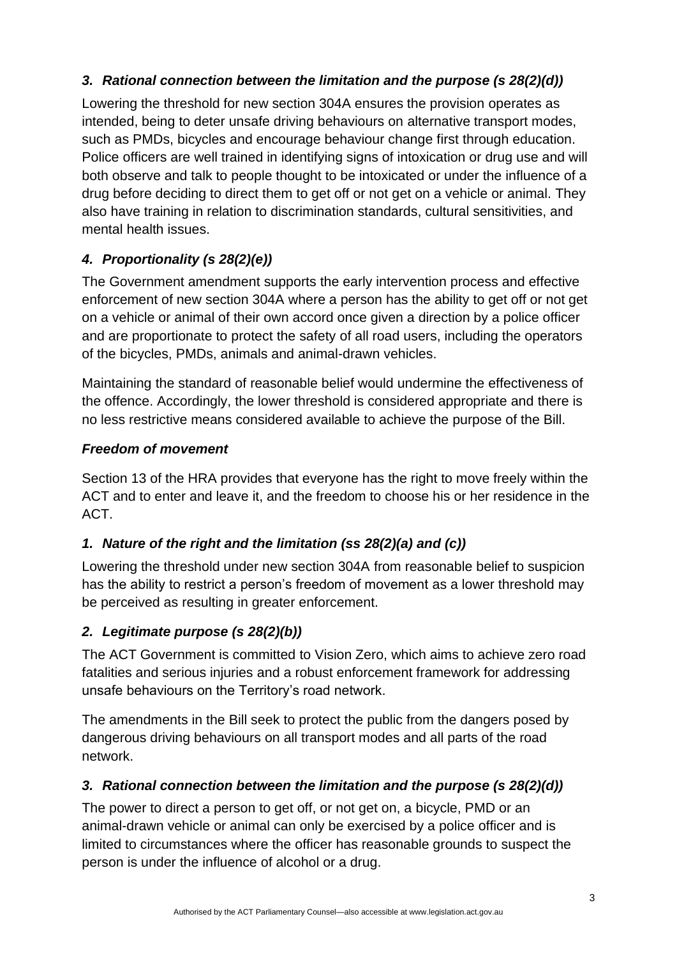# *3. Rational connection between the limitation and the purpose (s 28(2)(d))*

Lowering the threshold for new section 304A ensures the provision operates as intended, being to deter unsafe driving behaviours on alternative transport modes, such as PMDs, bicycles and encourage behaviour change first through education. Police officers are well trained in identifying signs of intoxication or drug use and will both observe and talk to people thought to be intoxicated or under the influence of a drug before deciding to direct them to get off or not get on a vehicle or animal. They also have training in relation to discrimination standards, cultural sensitivities, and mental health issues.

# *4. Proportionality (s 28(2)(e))*

The Government amendment supports the early intervention process and effective enforcement of new section 304A where a person has the ability to get off or not get on a vehicle or animal of their own accord once given a direction by a police officer and are proportionate to protect the safety of all road users, including the operators of the bicycles, PMDs, animals and animal-drawn vehicles.

Maintaining the standard of reasonable belief would undermine the effectiveness of the offence. Accordingly, the lower threshold is considered appropriate and there is no less restrictive means considered available to achieve the purpose of the Bill.

### *Freedom of movement*

Section 13 of the HRA provides that everyone has the right to move freely within the ACT and to enter and leave it, and the freedom to choose his or her residence in the ACT.

### *1. Nature of the right and the limitation (ss 28(2)(a) and (c))*

Lowering the threshold under new section 304A from reasonable belief to suspicion has the ability to restrict a person's freedom of movement as a lower threshold may be perceived as resulting in greater enforcement.

### *2. Legitimate purpose (s 28(2)(b))*

The ACT Government is committed to Vision Zero, which aims to achieve zero road fatalities and serious injuries and a robust enforcement framework for addressing unsafe behaviours on the Territory's road network.

The amendments in the Bill seek to protect the public from the dangers posed by dangerous driving behaviours on all transport modes and all parts of the road network.

### *3. Rational connection between the limitation and the purpose (s 28(2)(d))*

The power to direct a person to get off, or not get on, a bicycle, PMD or an animal-drawn vehicle or animal can only be exercised by a police officer and is limited to circumstances where the officer has reasonable grounds to suspect the person is under the influence of alcohol or a drug.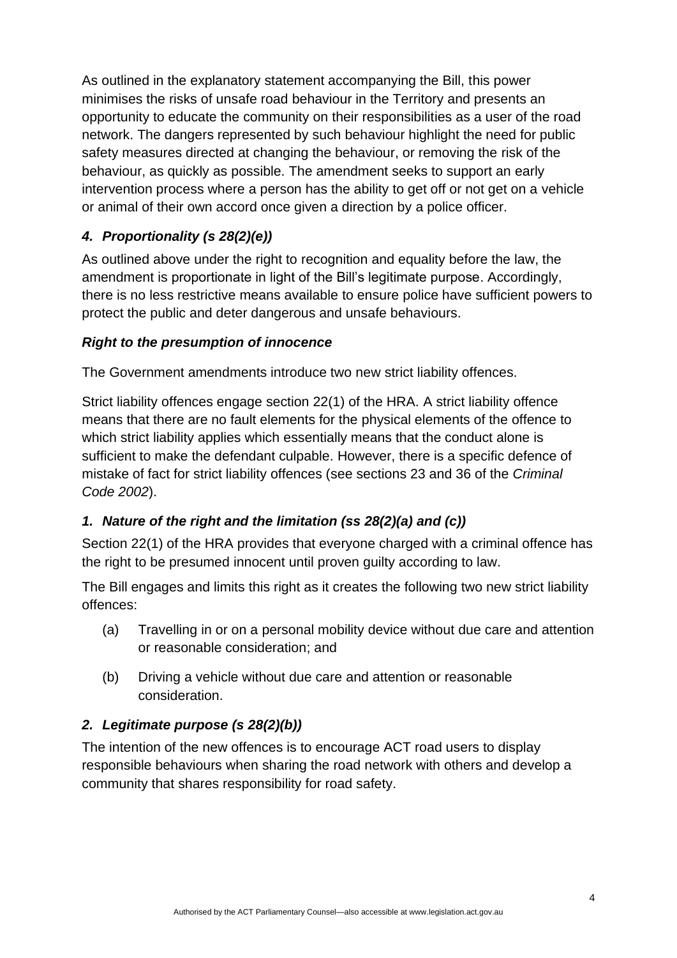As outlined in the explanatory statement accompanying the Bill, this power minimises the risks of unsafe road behaviour in the Territory and presents an opportunity to educate the community on their responsibilities as a user of the road network. The dangers represented by such behaviour highlight the need for public safety measures directed at changing the behaviour, or removing the risk of the behaviour, as quickly as possible. The amendment seeks to support an early intervention process where a person has the ability to get off or not get on a vehicle or animal of their own accord once given a direction by a police officer.

# *4. Proportionality (s 28(2)(e))*

As outlined above under the right to recognition and equality before the law, the amendment is proportionate in light of the Bill's legitimate purpose. Accordingly, there is no less restrictive means available to ensure police have sufficient powers to protect the public and deter dangerous and unsafe behaviours.

#### *Right to the presumption of innocence*

The Government amendments introduce two new strict liability offences.

Strict liability offences engage section 22(1) of the HRA. A strict liability offence means that there are no fault elements for the physical elements of the offence to which strict liability applies which essentially means that the conduct alone is sufficient to make the defendant culpable. However, there is a specific defence of mistake of fact for strict liability offences (see sections 23 and 36 of the *Criminal Code 2002*).

### *1. Nature of the right and the limitation (ss 28(2)(a) and (c))*

Section 22(1) of the HRA provides that everyone charged with a criminal offence has the right to be presumed innocent until proven guilty according to law.

The Bill engages and limits this right as it creates the following two new strict liability offences:

- (a) Travelling in or on a personal mobility device without due care and attention or reasonable consideration; and
- (b) Driving a vehicle without due care and attention or reasonable consideration.

### *2. Legitimate purpose (s 28(2)(b))*

The intention of the new offences is to encourage ACT road users to display responsible behaviours when sharing the road network with others and develop a community that shares responsibility for road safety.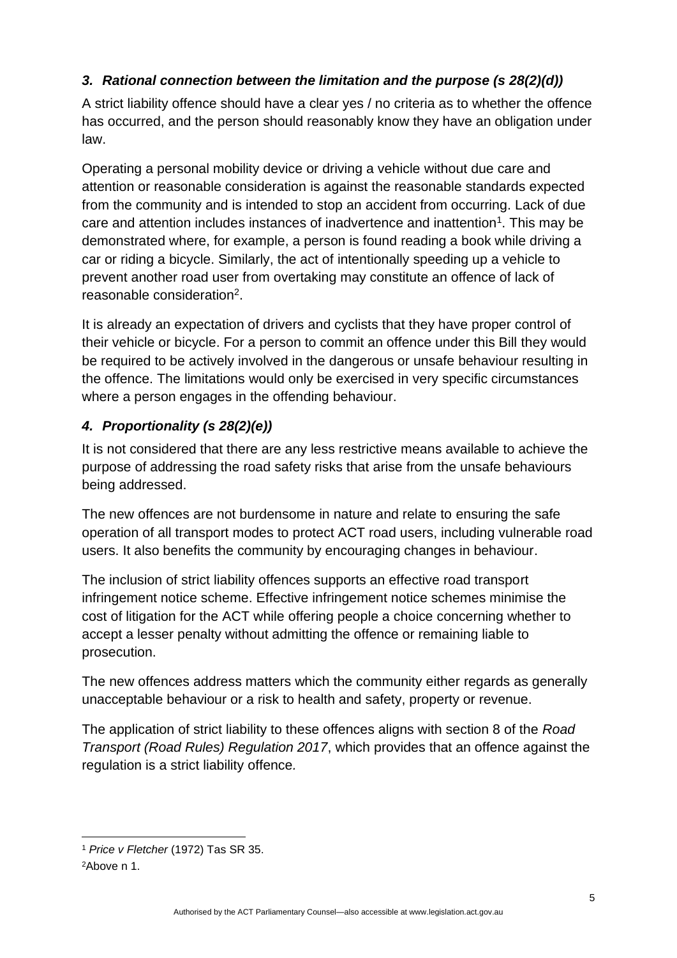# *3. Rational connection between the limitation and the purpose (s 28(2)(d))*

A strict liability offence should have a clear yes / no criteria as to whether the offence has occurred, and the person should reasonably know they have an obligation under law.

Operating a personal mobility device or driving a vehicle without due care and attention or reasonable consideration is against the reasonable standards expected from the community and is intended to stop an accident from occurring. Lack of due care and attention includes instances of inadvertence and inattention<sup>1</sup>. This may be demonstrated where, for example, a person is found reading a book while driving a car or riding a bicycle. Similarly, the act of intentionally speeding up a vehicle to prevent another road user from overtaking may constitute an offence of lack of reasonable consideration<sup>2</sup>.

It is already an expectation of drivers and cyclists that they have proper control of their vehicle or bicycle. For a person to commit an offence under this Bill they would be required to be actively involved in the dangerous or unsafe behaviour resulting in the offence. The limitations would only be exercised in very specific circumstances where a person engages in the offending behaviour.

# *4. Proportionality (s 28(2)(e))*

It is not considered that there are any less restrictive means available to achieve the purpose of addressing the road safety risks that arise from the unsafe behaviours being addressed.

The new offences are not burdensome in nature and relate to ensuring the safe operation of all transport modes to protect ACT road users, including vulnerable road users. It also benefits the community by encouraging changes in behaviour.

The inclusion of strict liability offences supports an effective road transport infringement notice scheme. Effective infringement notice schemes minimise the cost of litigation for the ACT while offering people a choice concerning whether to accept a lesser penalty without admitting the offence or remaining liable to prosecution.

The new offences address matters which the community either regards as generally unacceptable behaviour or a risk to health and safety, property or revenue.

The application of strict liability to these offences aligns with section 8 of the *Road Transport (Road Rules) Regulation 2017*, which provides that an offence against the regulation is a strict liability offence*.*

<sup>1</sup> *Price v Fletcher* (1972) Tas SR 35.

<sup>2</sup>Above n 1.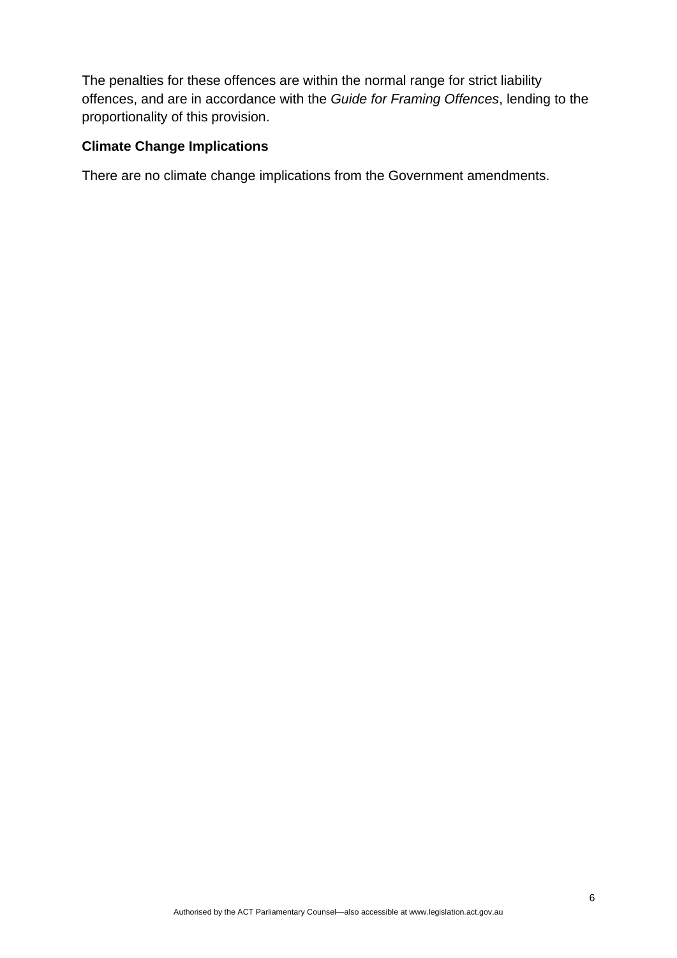The penalties for these offences are within the normal range for strict liability offences, and are in accordance with the *Guide for Framing Offences*, lending to the proportionality of this provision.

#### **Climate Change Implications**

There are no climate change implications from the Government amendments.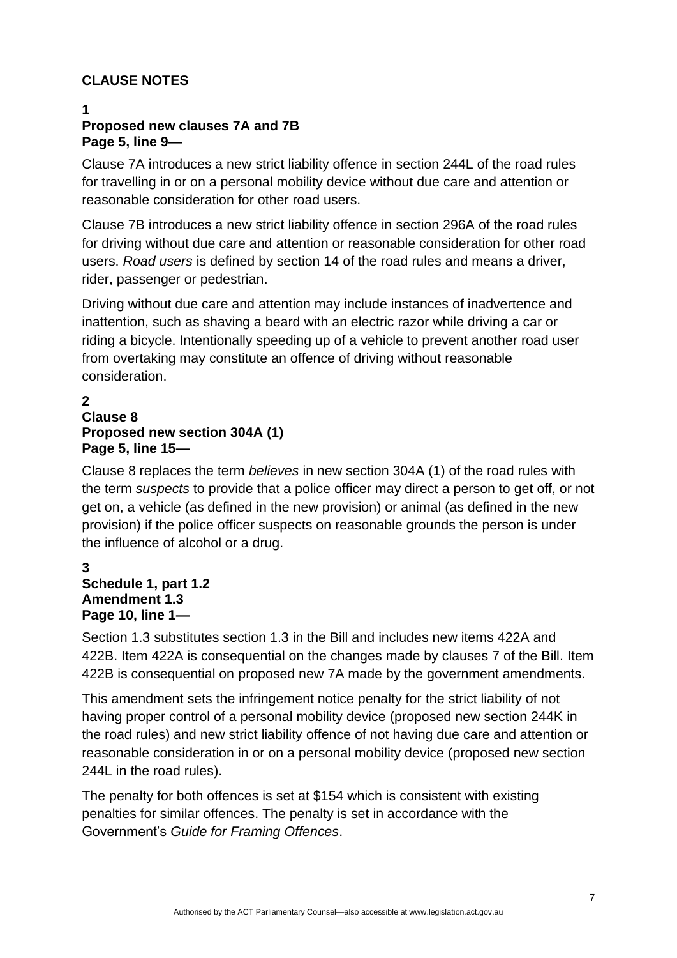### **CLAUSE NOTES**

#### **1 Proposed new clauses 7A and 7B Page 5, line 9—**

Clause 7A introduces a new strict liability offence in section 244L of the road rules for travelling in or on a personal mobility device without due care and attention or reasonable consideration for other road users.

Clause 7B introduces a new strict liability offence in section 296A of the road rules for driving without due care and attention or reasonable consideration for other road users. *Road users* is defined by section 14 of the road rules and means a driver, rider, passenger or pedestrian.

Driving without due care and attention may include instances of inadvertence and inattention, such as shaving a beard with an electric razor while driving a car or riding a bicycle. Intentionally speeding up of a vehicle to prevent another road user from overtaking may constitute an offence of driving without reasonable consideration.

#### **2 Clause 8 Proposed new section 304A (1) Page 5, line 15—**

Clause 8 replaces the term *believes* in new section 304A (1) of the road rules with the term *suspects* to provide that a police officer may direct a person to get off, or not get on, a vehicle (as defined in the new provision) or animal (as defined in the new provision) if the police officer suspects on reasonable grounds the person is under the influence of alcohol or a drug.

#### **3 Schedule 1, part 1.2 Amendment 1.3 Page 10, line 1—**

Section 1.3 substitutes section 1.3 in the Bill and includes new items 422A and 422B. Item 422A is consequential on the changes made by clauses 7 of the Bill. Item 422B is consequential on proposed new 7A made by the government amendments.

This amendment sets the infringement notice penalty for the strict liability of not having proper control of a personal mobility device (proposed new section 244K in the road rules) and new strict liability offence of not having due care and attention or reasonable consideration in or on a personal mobility device (proposed new section 244L in the road rules).

The penalty for both offences is set at \$154 which is consistent with existing penalties for similar offences. The penalty is set in accordance with the Government's *Guide for Framing Offences*.